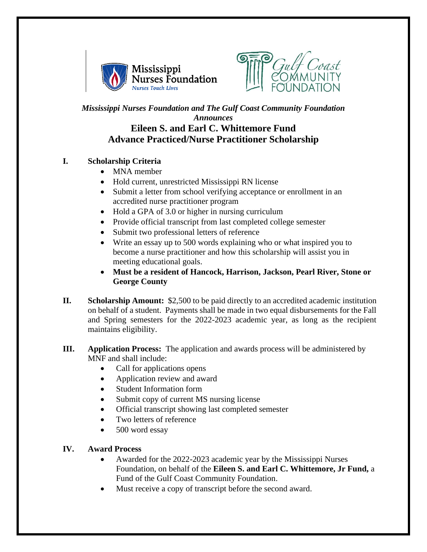



## *Mississippi Nurses Foundation and The Gulf Coast Community Foundation Announces* **Eileen S. and Earl C. Whittemore Fund Advance Practiced/Nurse Practitioner Scholarship**

## **I. Scholarship Criteria**

- MNA member
- Hold current, unrestricted Mississippi RN license
- Submit a letter from school verifying acceptance or enrollment in an accredited nurse practitioner program
- Hold a GPA of 3.0 or higher in nursing curriculum
- Provide official transcript from last completed college semester
- Submit two professional letters of reference
- Write an essay up to 500 words explaining who or what inspired you to become a nurse practitioner and how this scholarship will assist you in meeting educational goals.
- **Must be a resident of Hancock, Harrison, Jackson, Pearl River, Stone or George County**
- **II. Scholarship Amount:** \$2,500 to be paid directly to an accredited academic institution on behalf of a student. Payments shall be made in two equal disbursements for the Fall and Spring semesters for the 2022-2023 academic year, as long as the recipient maintains eligibility.
- **III. Application Process:** The application and awards process will be administered by MNF and shall include:
	- Call for applications opens
	- Application review and award
	- Student Information form
	- Submit copy of current MS nursing license
	- Official transcript showing last completed semester
	- Two letters of reference
	- 500 word essay

## **IV. Award Process**

- Awarded for the 2022-2023 academic year by the Mississippi Nurses Foundation, on behalf of the **Eileen S. and Earl C. Whittemore, Jr Fund,** a Fund of the Gulf Coast Community Foundation.
- Must receive a copy of transcript before the second award.